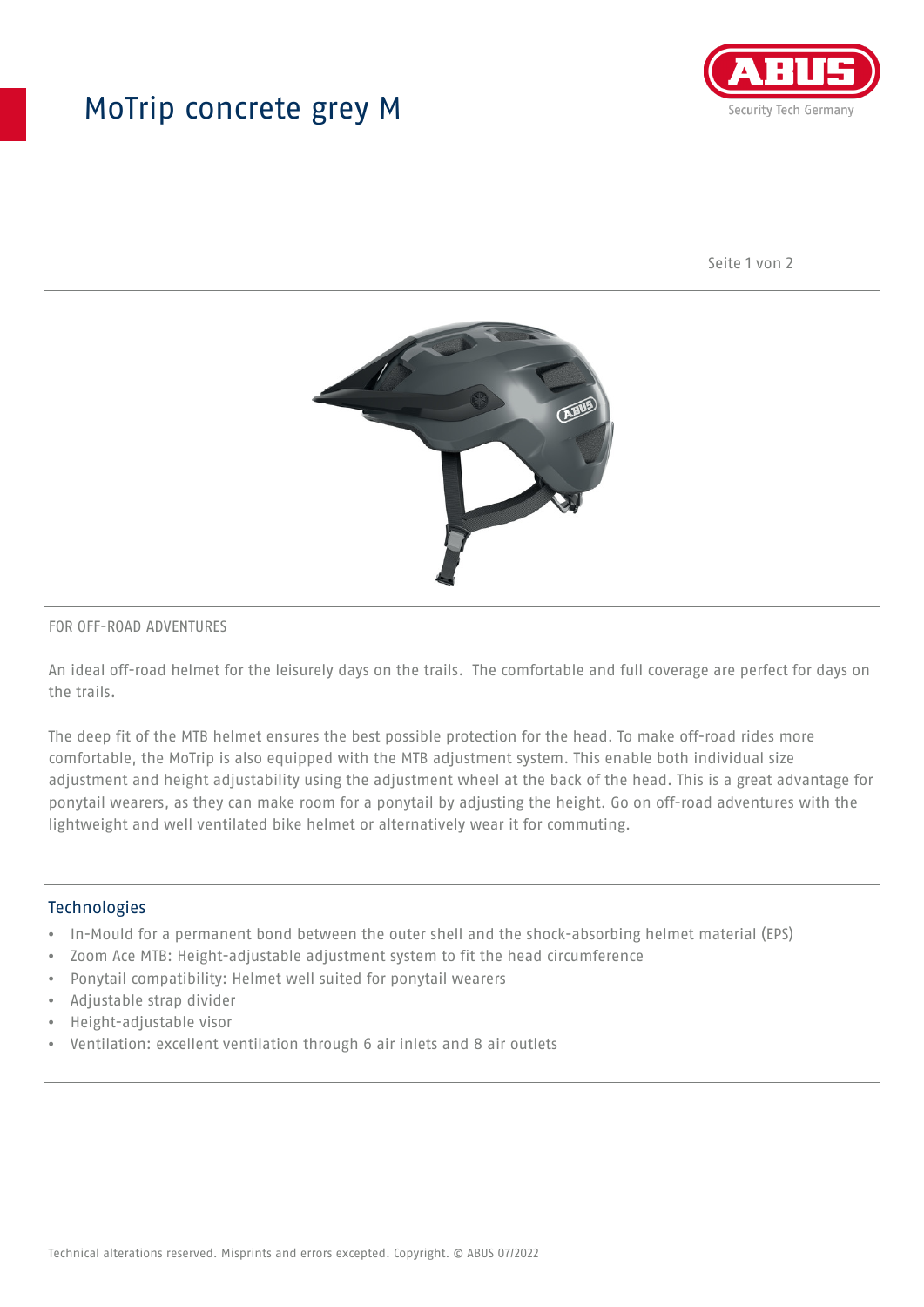## MoTrip concrete grey M



Seite 1 von 2



#### FOR OFF-ROAD ADVENTURES

An ideal off-road helmet for the leisurely days on the trails. The comfortable and full coverage are perfect for days on the trails.

The deep fit of the MTB helmet ensures the best possible protection for the head. To make off-road rides more comfortable, the MoTrip is also equipped with the MTB adjustment system. This enable both individual size adjustment and height adjustability using the adjustment wheel at the back of the head. This is a great advantage for ponytail wearers, as they can make room for a ponytail by adjusting the height. Go on off-road adventures with the lightweight and well ventilated bike helmet or alternatively wear it for commuting.

#### Technologies

- In-Mould for a permanent bond between the outer shell and the shock-absorbing helmet material (EPS)
- Zoom Ace MTB: Height-adjustable adjustment system to fit the head circumference
- Ponytail compatibility: Helmet well suited for ponytail wearers
- Adjustable strap divider
- Height-adjustable visor
- Ventilation: excellent ventilation through 6 air inlets and 8 air outlets